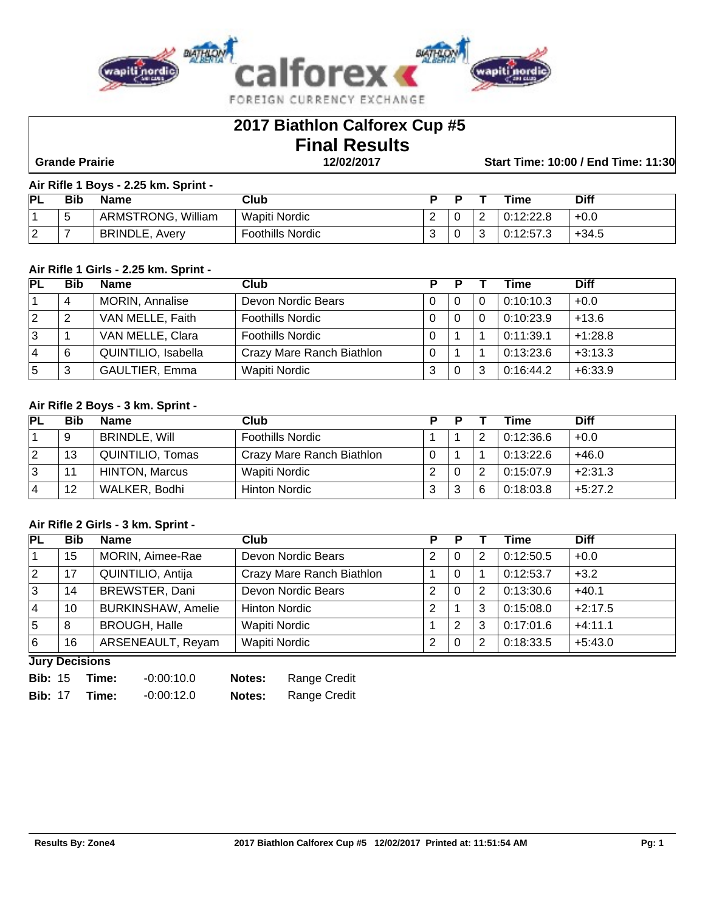

# **2017 Biathlon Calforex Cup #5 Final Results**

 **Grande Prairie 12/02/2017 Start Time: 10:00 / End Time: 11:30**

#### **Air Rifle 1 Boys - 2.25 km. Sprint -**

| <b>PL</b>          | Bib    | <b>Name</b>           | Club                    |   | ю |                        | Time                  | <b>Diff</b> |
|--------------------|--------|-----------------------|-------------------------|---|---|------------------------|-----------------------|-------------|
|                    | ∽<br>J | William<br>ARMSTRONG, | Wapiti Nordic           | - | ν | $\sqrt{2}$<br><u>_</u> | 0.19.999              | $+0.0$      |
| $\sim$<br><u>_</u> | -      | BRINDLE,<br>Averv     | <b>Foothills Nordic</b> |   | ν | ◡                      | 0.12.572<br>0.12.37.3 | $+34.5$     |

#### **Air Rifle 1 Girls - 2.25 km. Sprint -**

| <b>PL</b> | <b>Bib</b> | <b>Name</b>           | Club                      | D | D |   | Time      | <b>Diff</b> |
|-----------|------------|-----------------------|---------------------------|---|---|---|-----------|-------------|
|           | 4          | MORIN, Annalise       | Devon Nordic Bears        |   | 0 | 0 | 0:10:10.3 | $+0.0$      |
| 2         |            | VAN MELLE, Faith      | <b>Foothills Nordic</b>   |   | 0 | 0 | 0:10:23.9 | $+13.6$     |
| 3         |            | VAN MELLE, Clara      | <b>Foothills Nordic</b>   |   |   |   | 0:11:39.1 | $+1:28.8$   |
| 4         | 6          | QUINTILIO, Isabella   | Crazy Mare Ranch Biathlon |   |   |   | 0:13:23.6 | $+3:13.3$   |
| 5         | 3          | <b>GAULTIER, Emma</b> | Wapiti Nordic             | ◠ | 0 | 3 | 0:16:44.2 | $+6:33.9$   |

#### **Air Rifle 2 Boys - 3 km. Sprint -**

| <b>PL</b> | Bib | <b>Name</b>           | Club                      | D | D |   | Time      | <b>Diff</b> |
|-----------|-----|-----------------------|---------------------------|---|---|---|-----------|-------------|
|           | 9   | <b>BRINDLE, Will</b>  | <b>Foothills Nordic</b>   |   |   | 2 | 0:12:36.6 | $+0.0$      |
| 12        | 13  | QUINTILIO, Tomas      | Crazy Mare Ranch Biathlon |   |   |   | 0:13:22.6 | $+46.0$     |
| 13        | 11  | <b>HINTON, Marcus</b> | Wapiti Nordic             | ◠ | 0 | 2 | 0:15:07.9 | $+2:31.3$   |
| 4         | 12  | WALKER, Bodhi         | <b>Hinton Nordic</b>      |   | 3 | 6 | 0:18:03.8 | $+5:27.2$   |

#### **Air Rifle 2 Girls - 3 km. Sprint -**

| <b>PL</b>   | <b>Bib</b> | Name                      | Club                      | P |          |   | Time      | <b>Diff</b> |
|-------------|------------|---------------------------|---------------------------|---|----------|---|-----------|-------------|
|             | 15         | MORIN, Aimee-Rae          | Devon Nordic Bears        | 2 | 0        | 2 | 0:12:50.5 | $+0.0$      |
| $ 2\rangle$ | 17         | QUINTILIO, Antija         | Crazy Mare Ranch Biathlon |   | $\Omega$ |   | 0:12:53.7 | $+3.2$      |
| 13          | 14         | BREWSTER, Dani            | Devon Nordic Bears        | っ | $\Omega$ | 2 | 0:13:30.6 | $+40.1$     |
| 4           | 10         | <b>BURKINSHAW, Amelie</b> | <b>Hinton Nordic</b>      | 2 |          | 3 | 0:15:08.0 | $+2:17.5$   |
| 15          | 8          | <b>BROUGH, Halle</b>      | Wapiti Nordic             |   | 2        | 3 | 0:17:01.6 | $+4:11.1$   |
| 6           | 16         | ARSENEAULT, Reyam         | Wapiti Nordic             | 2 | 0        | 2 | 0:18:33.5 | $+5:43.0$   |

**Jury Decisions**

| <b>Bib: 15</b> | Time: | $-0.00:10.0$ | Notes:        | Range Credit |
|----------------|-------|--------------|---------------|--------------|
| <b>Bib: 17</b> | Time: | $-0.00:12.0$ | <b>Notes:</b> | Range Credit |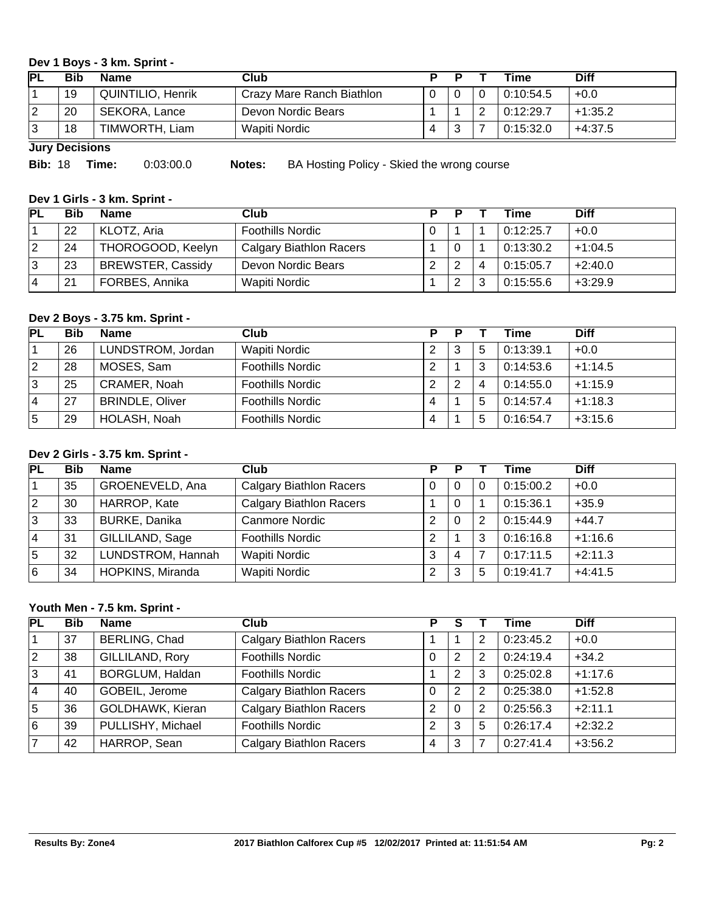#### **Dev 1 Boys - 3 km. Sprint -**

| IPL     | <b>Bib</b> | <b>Name</b>              | Club                      |   |   | Time      | <b>Diff</b> |
|---------|------------|--------------------------|---------------------------|---|---|-----------|-------------|
|         | 19         | <b>QUINTILIO, Henrik</b> | Crazy Mare Ranch Biathlon |   |   | 0:10:54.5 | $+0.0$      |
|         | 20         | SEKORA, Lance            | Devon Nordic Bears        |   |   | 0:12:29.7 | $+1:35.2$   |
| റ<br>∣J | 18         | TIMWORTH, Liam           | Wapiti Nordic             | 4 | ◡ | 0:15:32.0 | $+4:37.5$   |

**Jury Decisions**

| <b>Bib: 18</b> | Time: | 0:03:00.0 |
|----------------|-------|-----------|
|                |       |           |

**Biblion:** 18 **Notes:** BA Hosting Policy - Skied the wrong course

## **Dev 1 Girls - 3 km. Sprint -**

| <b>PL</b> | Bib | <b>Name</b>              | Club                           |               |        | Time      | <b>Diff</b> |
|-----------|-----|--------------------------|--------------------------------|---------------|--------|-----------|-------------|
|           | 22  | KLOTZ, Aria              | <b>Foothills Nordic</b>        |               |        | 0:12:25.7 | $+0.0$      |
|           | 24  | THOROGOOD, Keelyn        | <b>Calgary Biathlon Racers</b> | 0             |        | 0:13:30.2 | $+1:04.5$   |
| ು         | 23  | <b>BREWSTER, Cassidy</b> | Devon Nordic Bears             | ົ             | 4      | 0:15:05.7 | $+2:40.0$   |
| 4         | 21  | FORBES, Annika           | Wapiti Nordic                  | ົ<br><u>.</u> | ?<br>ت | 0:15:55.6 | $+3:29.9$   |

# **Dev 2 Boys - 3.75 km. Sprint -**

| <b>PL</b>      | Bib | <b>Name</b>            | Club                    |   |   |   | Time      | <b>Diff</b> |
|----------------|-----|------------------------|-------------------------|---|---|---|-----------|-------------|
|                | 26  | LUNDSTROM, Jordan      | Wapiti Nordic           | ົ | 3 | 5 | 0:13:39.1 | $+0.0$      |
| $\overline{2}$ | 28  | MOSES, Sam             | <b>Foothills Nordic</b> | ົ |   | 3 | 0:14:53.6 | $+1:14.5$   |
| 3              | 25  | CRAMER, Noah           | <b>Foothills Nordic</b> | ◠ | ◠ | 4 | 0:14:55.0 | $+1:15.9$   |
| 4              | 27  | <b>BRINDLE, Oliver</b> | <b>Foothills Nordic</b> | 4 |   | 5 | 0:14:57.4 | $+1:18.3$   |
| 5              | 29  | HOLASH, Noah           | <b>Foothills Nordic</b> | 4 |   | 5 | 0:16:54.7 | $+3:15.6$   |

#### **Dev 2 Girls - 3.75 km. Sprint -**

| PL | <b>Bib</b> | <b>Name</b>       | Club                           | P | Р |          | Time      | <b>Diff</b> |
|----|------------|-------------------|--------------------------------|---|---|----------|-----------|-------------|
|    | 35         | GROENEVELD, Ana   | <b>Calgary Biathlon Racers</b> |   | 0 | $\Omega$ | 0:15:00.2 | $+0.0$      |
| 2  | 30         | HARROP, Kate      | <b>Calgary Biathlon Racers</b> |   | 0 |          | 0:15:36.1 | $+35.9$     |
| ΙЗ | 33         | BURKE, Danika     | Canmore Nordic                 | 2 | 0 | 2        | 0:15:44.9 | $+44.7$     |
| 4  | 31         | GILLILAND, Sage   | <b>Foothills Nordic</b>        | 2 |   | 3        | 0:16:16.8 | $+1:16.6$   |
| 5  | 32         | LUNDSTROM, Hannah | Wapiti Nordic                  | 3 | 4 | 7        | 0:17:11.5 | $+2:11.3$   |
| l6 | 34         | HOPKINS, Miranda  | <b>Wapiti Nordic</b>           | 2 | 3 | 5        | 0:19:41.7 | $+4.41.5$   |

## **Youth Men - 7.5 km. Sprint -**

| <b>PL</b>      | <b>Bib</b> | <b>Name</b>            | <b>Club</b>                    |   | S        |   | Time      | <b>Diff</b> |
|----------------|------------|------------------------|--------------------------------|---|----------|---|-----------|-------------|
|                | 37         | BERLING, Chad          | <b>Calgary Biathlon Racers</b> |   |          | 2 | 0:23:45.2 | $+0.0$      |
| $\overline{2}$ | 38         | GILLILAND, Rory        | <b>Foothills Nordic</b>        | 0 | 2        | 2 | 0:24:19.4 | $+34.2$     |
| 3              | 41         | <b>BORGLUM, Haldan</b> | <b>Foothills Nordic</b>        |   | 2        | 3 | 0:25:02.8 | $+1:17.6$   |
| 4              | 40         | GOBEIL, Jerome         | <b>Calgary Biathlon Racers</b> | 0 | 2        | 2 | 0:25:38.0 | $+1:52.8$   |
| 5              | 36         | GOLDHAWK, Kieran       | <b>Calgary Biathlon Racers</b> | 2 | $\Omega$ | 2 | 0:25:56.3 | $+2:11.1$   |
| 16             | 39         | PULLISHY, Michael      | <b>Foothills Nordic</b>        | 2 | 3        | 5 | 0:26:17.4 | $+2:32.2$   |
|                | 42         | HARROP, Sean           | <b>Calgary Biathlon Racers</b> | 4 | 3        |   | 0:27:41.4 | $+3:56.2$   |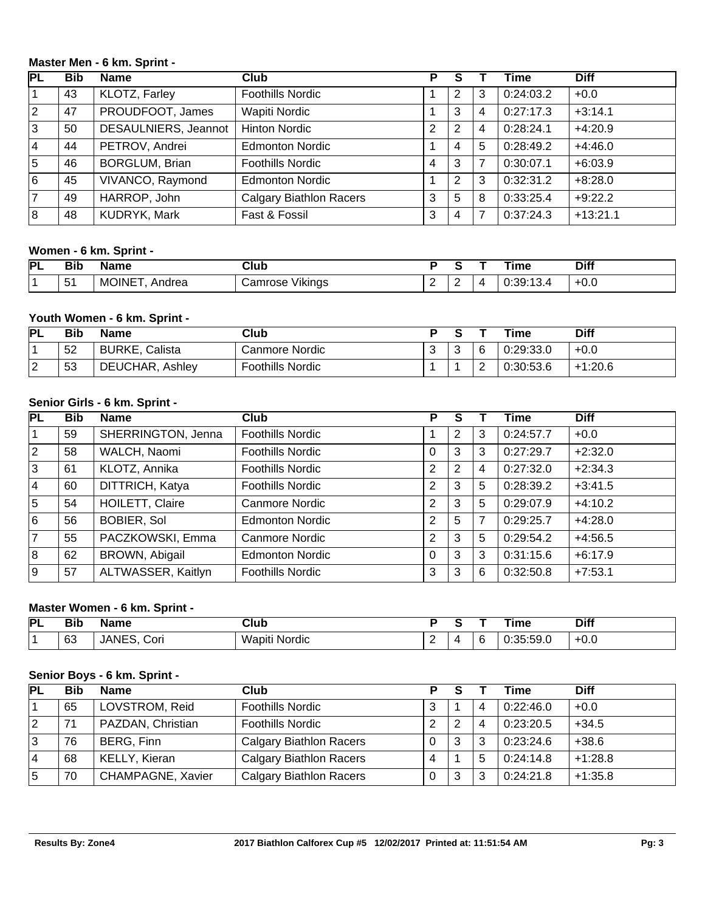#### **Master Men - 6 km. Sprint -**

| $\overline{\mathsf{PL}}$ | <b>Bib</b> | <b>Name</b>           | Club                           | Р |                |                | Time      | <b>Diff</b> |
|--------------------------|------------|-----------------------|--------------------------------|---|----------------|----------------|-----------|-------------|
|                          | 43         | KLOTZ, Farley         | <b>Foothills Nordic</b>        |   | 2              | 3              | 0:24:03.2 | $+0.0$      |
| $ 2\rangle$              | 47         | PROUDFOOT, James      | Wapiti Nordic                  |   | 3              | 4              | 0:27:17.3 | $+3:14.1$   |
| 3                        | 50         | DESAULNIERS, Jeannot  | <b>Hinton Nordic</b>           | 2 | $\overline{2}$ | $\overline{4}$ | 0:28:24.1 | $+4:20.9$   |
| l 4                      | 44         | PETROV, Andrei        | <b>Edmonton Nordic</b>         |   | 4              | 5              | 0:28:49.2 | $+4:46.0$   |
| 5                        | 46         | <b>BORGLUM, Brian</b> | <b>Foothills Nordic</b>        | 4 | 3              | 7              | 0:30:07.1 | $+6:03.9$   |
| 6                        | 45         | VIVANCO, Raymond      | <b>Edmonton Nordic</b>         |   | $\overline{2}$ | 3              | 0:32:31.2 | $+8:28.0$   |
| 17                       | 49         | HARROP, John          | <b>Calgary Biathlon Racers</b> | 3 | 5              | 8              | 0:33:25.4 | $+9:22.2$   |
| 8                        | 48         | KUDRYK, Mark          | Fast & Fossil                  | 3 | 4              |                | 0:37:24.3 | $+13:21.1$  |

## **Women - 6 km. Sprint -**

| PL | - - -<br>Bil | , me      | Club<br>____              |   |   | лне | <b>Diff</b>    |
|----|--------------|-----------|---------------------------|---|---|-----|----------------|
|    | -<br>∽<br>ັບ | M.<br>пеа | /ikings<br>- - - -<br>. . | - | - | . י | $\cap$<br>+v.u |

## **Youth Women - 6 km. Sprint -**

| PL            | Bib | Name               | Club                    |   |             |        | ™ime      | <b>Diff</b> |
|---------------|-----|--------------------|-------------------------|---|-------------|--------|-----------|-------------|
|               | 52  | Calista<br>BURKE,  | Canmore Nordic          | ັ | $\sim$<br>◡ | 6      | 0:29:33.0 | $+0.0$      |
| ⌒<br><u>_</u> | 53  | DEUCHAR,<br>Ashley | <b>Foothills Nordic</b> |   |             | ⌒<br>_ | 0:30:53.6 | $+1:20.6$   |

#### **Senior Girls - 6 km. Sprint -**

| PL             | <b>Bib</b> | Name               | Club                    | Р              | S              |   | Time      | <b>Diff</b> |
|----------------|------------|--------------------|-------------------------|----------------|----------------|---|-----------|-------------|
|                | 59         | SHERRINGTON, Jenna | <b>Foothills Nordic</b> |                | 2              | 3 | 0:24:57.7 | $+0.0$      |
| $ 2\rangle$    | 58         | WALCH, Naomi       | <b>Foothills Nordic</b> | 0              | 3              | 3 | 0:27:29.7 | $+2:32.0$   |
| 3              | 61         | KLOTZ, Annika      | <b>Foothills Nordic</b> | $\overline{2}$ | $\overline{2}$ | 4 | 0:27:32.0 | $+2:34.3$   |
| l 4            | 60         | DITTRICH, Katya    | <b>Foothills Nordic</b> | 2              | 3              | 5 | 0:28:39.2 | $+3:41.5$   |
| 5              | 54         | HOILETT, Claire    | Canmore Nordic          | 2              | 3              | 5 | 0:29:07.9 | $+4:10.2$   |
| 6              | 56         | <b>BOBIER, Sol</b> | <b>Edmonton Nordic</b>  | 2              | 5              | 7 | 0:29:25.7 | $+4:28.0$   |
| $\overline{7}$ | 55         | PACZKOWSKI, Emma   | Canmore Nordic          | $\overline{2}$ | 3              | 5 | 0:29:54.2 | $+4:56.5$   |
| 8              | 62         | BROWN, Abigail     | <b>Edmonton Nordic</b>  | 0              | 3              | 3 | 0:31:15.6 | $+6:17.9$   |
| 9              | 57         | ALTWASSER, Kaitlyn | <b>Foothills Nordic</b> | 3              | 3              | 6 | 0:32:50.8 | $+7:53.1$   |

## **Master Women - 6 km. Sprint -**

| PL | Bil      | ame.<br>vane      | ડાub<br>____     |   |  | ıme                         | <b>Diff</b> |
|----|----------|-------------------|------------------|---|--|-----------------------------|-------------|
|    | c0<br>ບບ | ТE<br>Cor<br>'ANI | Wapiti<br>Nordic | - |  | $\sim$<br>$ \sim$<br>.<br>. | $+0.0$      |

#### **Senior Boys - 6 km. Sprint -**

| <b>PL</b> | <b>Bib</b> | <b>Name</b>              | Club                           | Þ |   |                | Time      | <b>Diff</b> |
|-----------|------------|--------------------------|--------------------------------|---|---|----------------|-----------|-------------|
|           | 65         | LOVSTROM, Reid           | <b>Foothills Nordic</b>        | 3 |   | $\overline{4}$ | 0:22:46.0 | $+0.0$      |
| 2         | 71         | PAZDAN, Christian        | <b>Foothills Nordic</b>        |   | 2 | 4              | 0:23:20.5 | $+34.5$     |
|           | 76         | BERG, Finn               | <b>Calgary Biathlon Racers</b> |   | 3 | 3              | 0:23:24.6 | $+38.6$     |
| 4         | 68         | KELLY, Kieran            | <b>Calgary Biathlon Racers</b> |   |   | 5              | 0:24:14.8 | $+1:28.8$   |
| 5         | 70         | <b>CHAMPAGNE, Xavier</b> | <b>Calgary Biathlon Racers</b> |   | 3 | 3              | 0:24:21.8 | $+1:35.8$   |